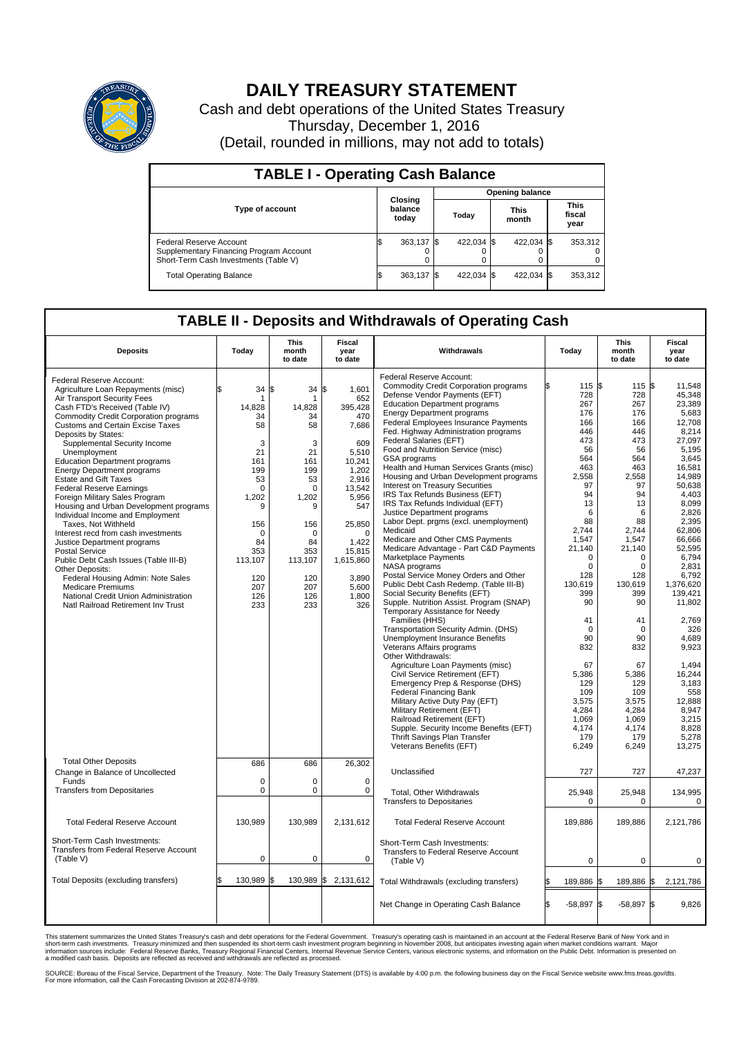

## **DAILY TREASURY STATEMENT**

Cash and debt operations of the United States Treasury Thursday, December 1, 2016 (Detail, rounded in millions, may not add to totals)

| <b>TABLE I - Operating Cash Balance</b>                                                                     |                             |            |                        |            |                      |            |  |                               |  |  |  |
|-------------------------------------------------------------------------------------------------------------|-----------------------------|------------|------------------------|------------|----------------------|------------|--|-------------------------------|--|--|--|
|                                                                                                             | Closing<br>balance<br>today |            | <b>Opening balance</b> |            |                      |            |  |                               |  |  |  |
| <b>Type of account</b>                                                                                      |                             |            | Today                  |            | <b>This</b><br>month |            |  | <b>This</b><br>fiscal<br>year |  |  |  |
| Federal Reserve Account<br>Supplementary Financing Program Account<br>Short-Term Cash Investments (Table V) |                             | 363,137 \$ |                        | 422.034 \$ |                      | 422.034 \$ |  | 353,312                       |  |  |  |
| <b>Total Operating Balance</b>                                                                              | I\$                         | 363,137    |                        | 422.034 \$ |                      | 422,034 \$ |  | 353,312                       |  |  |  |

## **TABLE II - Deposits and Withdrawals of Operating Cash**

| <b>Deposits</b>                              | Today       | <b>This</b><br>month<br>to date | Fiscal<br>year<br>to date | Withdrawals                                  | Today            | <b>This</b><br>month<br>to date | <b>Fiscal</b><br>year<br>to date |  |  |  |  |
|----------------------------------------------|-------------|---------------------------------|---------------------------|----------------------------------------------|------------------|---------------------------------|----------------------------------|--|--|--|--|
|                                              |             |                                 |                           | Federal Reserve Account:                     |                  |                                 |                                  |  |  |  |  |
| Federal Reserve Account:                     |             |                                 |                           | <b>Commodity Credit Corporation programs</b> | 115 \$<br>\$     | 115                             | 1\$<br>11,548                    |  |  |  |  |
| Agriculture Loan Repayments (misc)           | \$<br>34    | 34S<br>l\$                      | 1.601                     | Defense Vendor Payments (EFT)                | 728              | 728                             | 45.348                           |  |  |  |  |
| Air Transport Security Fees                  |             |                                 | 652                       | <b>Education Department programs</b>         | 267              | 267                             | 23,389                           |  |  |  |  |
| Cash FTD's Received (Table IV)               | 14.828      | 14.828                          | 395,428                   | <b>Energy Department programs</b>            | 176              | 176                             | 5,683                            |  |  |  |  |
| <b>Commodity Credit Corporation programs</b> | 34          | 34                              | 470                       | Federal Employees Insurance Payments         | 166              | 166                             | 12.708                           |  |  |  |  |
| <b>Customs and Certain Excise Taxes</b>      | 58          | 58                              | 7,686                     |                                              |                  |                                 |                                  |  |  |  |  |
| Deposits by States:                          |             |                                 |                           | Fed. Highway Administration programs         | 446              | 446                             | 8,214                            |  |  |  |  |
| Supplemental Security Income                 | 3           | 3                               | 609                       | Federal Salaries (EFT)                       | 473              | 473                             | 27,097                           |  |  |  |  |
| Unemployment                                 | 21          | 21                              | 5,510                     | Food and Nutrition Service (misc)            | 56               | 56                              | 5.195                            |  |  |  |  |
| <b>Education Department programs</b>         | 161         | 161                             | 10,241                    | GSA programs                                 | 564              | 564                             | 3,645                            |  |  |  |  |
| <b>Energy Department programs</b>            | 199         | 199                             | 1,202                     | Health and Human Services Grants (misc)      | 463              | 463                             | 16,581                           |  |  |  |  |
| <b>Estate and Gift Taxes</b>                 | 53          | 53                              | 2,916                     | Housing and Urban Development programs       | 2.558            | 2.558                           | 14.989                           |  |  |  |  |
| <b>Federal Reserve Earnings</b>              | $\Omega$    | $\Omega$                        | 13.542                    | Interest on Treasury Securities              | 97               | 97                              | 50,638                           |  |  |  |  |
| Foreign Military Sales Program               | 1,202       | 1,202                           | 5,956                     | IRS Tax Refunds Business (EFT)               | 94               | 94                              | 4.403                            |  |  |  |  |
| Housing and Urban Development programs       | 9           | 9                               | 547                       | IRS Tax Refunds Individual (EFT)             | 13               | 13                              | 8,099                            |  |  |  |  |
| Individual Income and Employment             |             |                                 |                           | Justice Department programs                  | 6                | 6                               | 2.826                            |  |  |  |  |
| Taxes, Not Withheld                          | 156         | 156                             | 25,850                    | Labor Dept. prgms (excl. unemployment)       | 88               | 88                              | 2,395                            |  |  |  |  |
| Interest recd from cash investments          | $\Omega$    | $\mathbf 0$                     | $\Omega$                  | Medicaid                                     | 2,744            | 2,744                           | 62,806                           |  |  |  |  |
| Justice Department programs                  | 84          | 84                              | 1.422                     | Medicare and Other CMS Payments              | 1,547            | 1,547                           | 66,666                           |  |  |  |  |
| <b>Postal Service</b>                        | 353         | 353                             | 15,815                    | Medicare Advantage - Part C&D Payments       | 21.140           | 21,140                          | 52.595                           |  |  |  |  |
| Public Debt Cash Issues (Table III-B)        | 113,107     | 113,107                         | 1,615,860                 | Marketplace Payments                         | 0                | 0                               | 6,794                            |  |  |  |  |
| Other Deposits:                              |             |                                 |                           | NASA programs                                | $\Omega$         | $\Omega$                        | 2,831                            |  |  |  |  |
| Federal Housing Admin: Note Sales            | 120         | 120                             | 3,890                     | Postal Service Money Orders and Other        | 128              | 128                             | 6,792                            |  |  |  |  |
| <b>Medicare Premiums</b>                     | 207         | 207                             | 5,600                     | Public Debt Cash Redemp. (Table III-B)       | 130,619          | 130,619                         | 1,376,620                        |  |  |  |  |
| National Credit Union Administration         | 126         | 126                             | 1,800                     | Social Security Benefits (EFT)               | 399              | 399                             | 139,421                          |  |  |  |  |
| Natl Railroad Retirement Inv Trust           | 233         | 233                             | 326                       | Supple. Nutrition Assist. Program (SNAP)     | 90               | 90                              | 11,802                           |  |  |  |  |
|                                              |             |                                 |                           | Temporary Assistance for Needy               |                  |                                 |                                  |  |  |  |  |
|                                              |             |                                 |                           | Families (HHS)                               | 41               | 41                              | 2,769                            |  |  |  |  |
|                                              |             |                                 |                           | Transportation Security Admin. (DHS)         | $\Omega$         | $\Omega$                        | 326                              |  |  |  |  |
|                                              |             |                                 |                           | Unemployment Insurance Benefits              | 90               | 90                              | 4,689                            |  |  |  |  |
|                                              |             |                                 |                           | Veterans Affairs programs                    | 832              | 832                             | 9,923                            |  |  |  |  |
|                                              |             |                                 |                           | Other Withdrawals:                           |                  |                                 |                                  |  |  |  |  |
|                                              |             |                                 |                           | Agriculture Loan Payments (misc)             | 67               | 67                              | 1.494                            |  |  |  |  |
|                                              |             |                                 |                           | Civil Service Retirement (EFT)               | 5,386            | 5,386                           | 16,244                           |  |  |  |  |
|                                              |             |                                 |                           | Emergency Prep & Response (DHS)              | 129              | 129                             | 3,183                            |  |  |  |  |
|                                              |             |                                 |                           | <b>Federal Financing Bank</b>                | 109              | 109                             | 558                              |  |  |  |  |
|                                              |             |                                 |                           | Military Active Duty Pay (EFT)               | 3,575            | 3,575                           | 12,888                           |  |  |  |  |
|                                              |             |                                 |                           | Military Retirement (EFT)                    | 4,284            | 4,284                           | 8,947                            |  |  |  |  |
|                                              |             |                                 |                           | Railroad Retirement (EFT)                    | 1,069            | 1,069                           | 3,215                            |  |  |  |  |
|                                              |             |                                 |                           | Supple. Security Income Benefits (EFT)       | 4,174            | 4,174                           | 8,828                            |  |  |  |  |
|                                              |             |                                 |                           | Thrift Savings Plan Transfer                 | 179              | 179                             | 5,278                            |  |  |  |  |
|                                              |             |                                 |                           | Veterans Benefits (EFT)                      | 6,249            | 6,249                           | 13,275                           |  |  |  |  |
| <b>Total Other Deposits</b>                  |             |                                 |                           |                                              |                  |                                 |                                  |  |  |  |  |
|                                              | 686         | 686                             | 26,302                    | Unclassified                                 | 727              | 727                             | 47,237                           |  |  |  |  |
| Change in Balance of Uncollected             | $\mathbf 0$ | $\mathbf 0$                     | $\mathbf 0$               |                                              |                  |                                 |                                  |  |  |  |  |
| Funds                                        | $\mathbf 0$ | $\mathbf 0$                     | $\mathbf 0$               |                                              |                  |                                 |                                  |  |  |  |  |
| <b>Transfers from Depositaries</b>           |             |                                 |                           | <b>Total. Other Withdrawals</b>              | 25,948           | 25,948                          | 134,995                          |  |  |  |  |
|                                              |             |                                 |                           | <b>Transfers to Depositaries</b>             | 0                | $\mathbf 0$                     | $\mathbf 0$                      |  |  |  |  |
|                                              |             |                                 |                           |                                              |                  |                                 |                                  |  |  |  |  |
| <b>Total Federal Reserve Account</b>         | 130,989     | 130,989                         | 2,131,612                 | <b>Total Federal Reserve Account</b>         | 189,886          | 189,886                         | 2,121,786                        |  |  |  |  |
|                                              |             |                                 |                           |                                              |                  |                                 |                                  |  |  |  |  |
| Short-Term Cash Investments:                 |             |                                 |                           | Short-Term Cash Investments:                 |                  |                                 |                                  |  |  |  |  |
| Transfers from Federal Reserve Account       |             |                                 |                           | Transfers to Federal Reserve Account         |                  |                                 |                                  |  |  |  |  |
| (Table V)                                    | 0           | $\mathbf 0$                     | $\mathbf 0$               | (Table V)                                    | 0                | $\mathbf 0$                     | 0                                |  |  |  |  |
|                                              |             |                                 |                           |                                              |                  |                                 |                                  |  |  |  |  |
| Total Deposits (excluding transfers)         | 130.989     | 130,989 \$<br>ß.                | 2,131,612                 | Total Withdrawals (excluding transfers)      | 189,886          | 189,886<br>ß.                   | 2,121,786<br>1\$                 |  |  |  |  |
|                                              |             |                                 |                           |                                              |                  |                                 |                                  |  |  |  |  |
|                                              |             |                                 |                           |                                              |                  |                                 |                                  |  |  |  |  |
|                                              |             |                                 |                           | Net Change in Operating Cash Balance         | l\$<br>$-58,897$ | l\$<br>$-58,897$ \$             | 9,826                            |  |  |  |  |
|                                              |             |                                 |                           |                                              |                  |                                 |                                  |  |  |  |  |

This statement summarizes the United States Treasury's cash and debt operations for the Federal Government. Treasury's operating cash is maintained in an account at the Federal Reserve Bank of New York and in<br>short-term ca

SOURCE: Bureau of the Fiscal Service, Department of the Treasury. Note: The Daily Treasury Statement (DTS) is available by 4:00 p.m. the following business day on the Fiscal Service website www.fms.treas.gov/dts.<br>For more